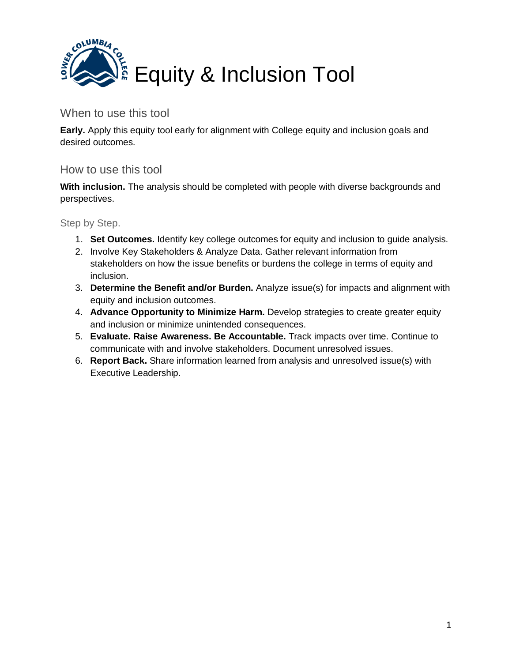

## When to use this tool

**Early.** Apply this equity tool early for alignment with College equity and inclusion goals and desired outcomes.

## How to use this tool

**With inclusion.** The analysis should be completed with people with diverse backgrounds and perspectives.

Step by Step.

- 1. **Set Outcomes.** Identify key college outcomes for equity and inclusion to guide analysis.
- 2. Involve Key Stakeholders & Analyze Data. Gather relevant information from stakeholders on how the issue benefits or burdens the college in terms of equity and inclusion.
- 3. **Determine the Benefit and/or Burden.** Analyze issue(s) for impacts and alignment with equity and inclusion outcomes.
- 4. **Advance Opportunity to Minimize Harm.** Develop strategies to create greater equity and inclusion or minimize unintended consequences.
- 5. **Evaluate. Raise Awareness. Be Accountable.** Track impacts over time. Continue to communicate with and involve stakeholders. Document unresolved issues.
- 6. **Report Back.** Share information learned from analysis and unresolved issue(s) with Executive Leadership.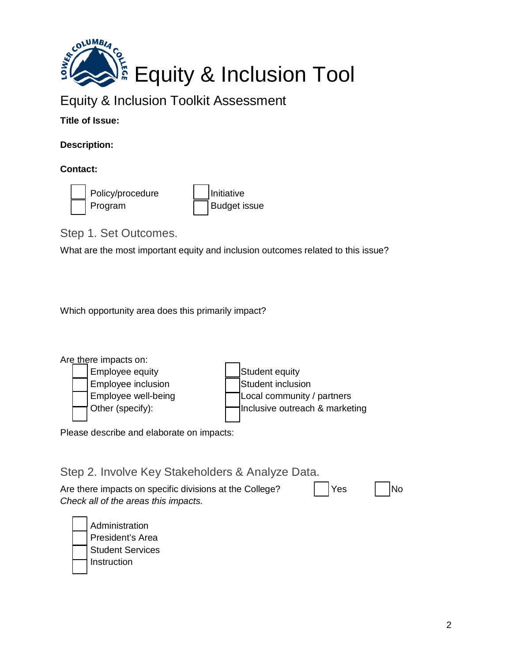

## Equity & Inclusion Toolkit Assessment

**Title of Issue:** 

**Description:**

**Contact:**



Policy/procedure Initiative Program Budget issue

Step 1. Set Outcomes.

What are the most important equity and inclusion outcomes related to this issue?

Which opportunity area does this primarily impact?



Please describe and elaborate on impacts:

Step 2. Involve Key Stakeholders & Analyze Data. Are there impacts on specific divisions at the College?  $\vert$  | Yes | | | No *Check all of the areas this impacts.*

**Administration** President's Area Student Services Instruction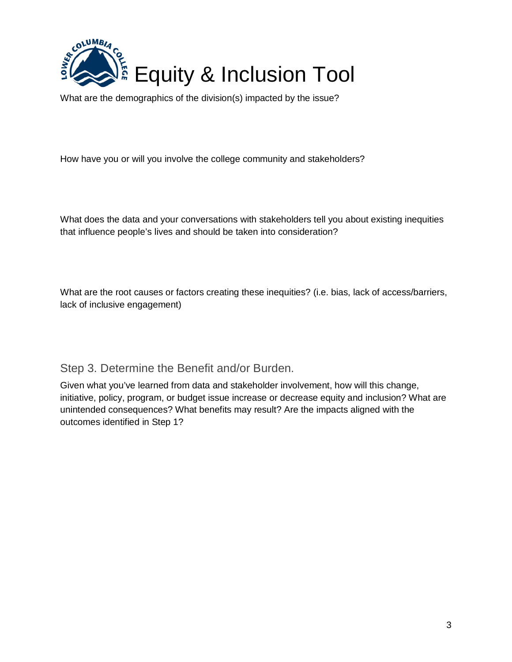

What are the demographics of the division(s) impacted by the issue?

How have you or will you involve the college community and stakeholders?

What does the data and your conversations with stakeholders tell you about existing inequities that influence people's lives and should be taken into consideration?

What are the root causes or factors creating these inequities? (i.e. bias, lack of access/barriers, lack of inclusive engagement)

Step 3. Determine the Benefit and/or Burden.

Given what you've learned from data and stakeholder involvement, how will this change, initiative, policy, program, or budget issue increase or decrease equity and inclusion? What are unintended consequences? What benefits may result? Are the impacts aligned with the outcomes identified in Step 1?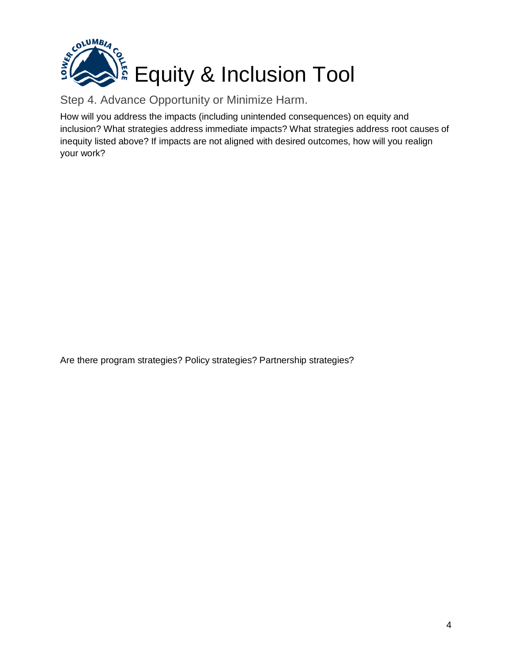

Step 4. Advance Opportunity or Minimize Harm.

How will you address the impacts (including unintended consequences) on equity and inclusion? What strategies address immediate impacts? What strategies address root causes of inequity listed above? If impacts are not aligned with desired outcomes, how will you realign your work?

Are there program strategies? Policy strategies? Partnership strategies?